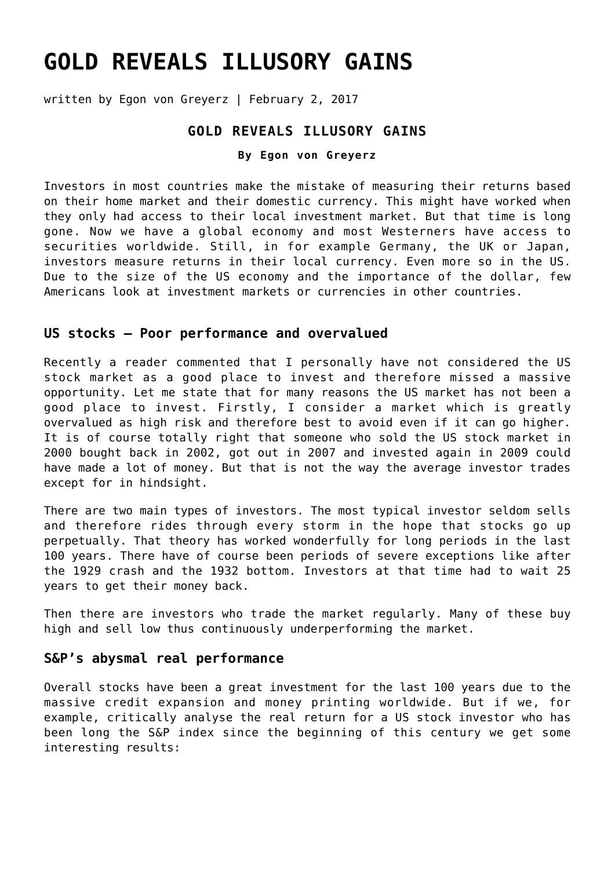# **[GOLD REVEALS ILLUSORY GAINS](https://goldswitzerland.com/gold-reveals-illusory-gains/)**

written by Egon von Greyerz | February 2, 2017

## **GOLD REVEALS ILLUSORY GAINS**

#### **By Egon von Greyerz**

Investors in most countries make the mistake of measuring their returns based on their home market and their domestic currency. This might have worked when they only had access to their local investment market. But that time is long gone. Now we have a global economy and most Westerners have access to securities worldwide. Still, in for example Germany, the UK or Japan, investors measure returns in their local currency. Even more so in the US. Due to the size of the US economy and the importance of the dollar, few Americans look at investment markets or currencies in other countries.

## **US stocks – Poor performance and overvalued**

Recently a reader commented that I personally have not considered the US stock market as a good place to invest and therefore missed a massive opportunity. Let me state that for many reasons the US market has not been a good place to invest. Firstly, I consider a market which is greatly overvalued as high risk and therefore best to avoid even if it can go higher. It is of course totally right that someone who sold the US stock market in 2000 bought back in 2002, got out in 2007 and invested again in 2009 could have made a lot of money. But that is not the way the average investor trades except for in hindsight.

There are two main types of investors. The most typical investor seldom sells and therefore rides through every storm in the hope that stocks go up perpetually. That theory has worked wonderfully for long periods in the last 100 years. There have of course been periods of severe exceptions like after the 1929 crash and the 1932 bottom. Investors at that time had to wait 25 years to get their money back.

Then there are investors who trade the market regularly. Many of these buy high and sell low thus continuously underperforming the market.

## **S&P's abysmal real performance**

Overall stocks have been a great investment for the last 100 years due to the massive credit expansion and money printing worldwide. But if we, for example, critically analyse the real return for a US stock investor who has been long the S&P index since the beginning of this century we get some interesting results: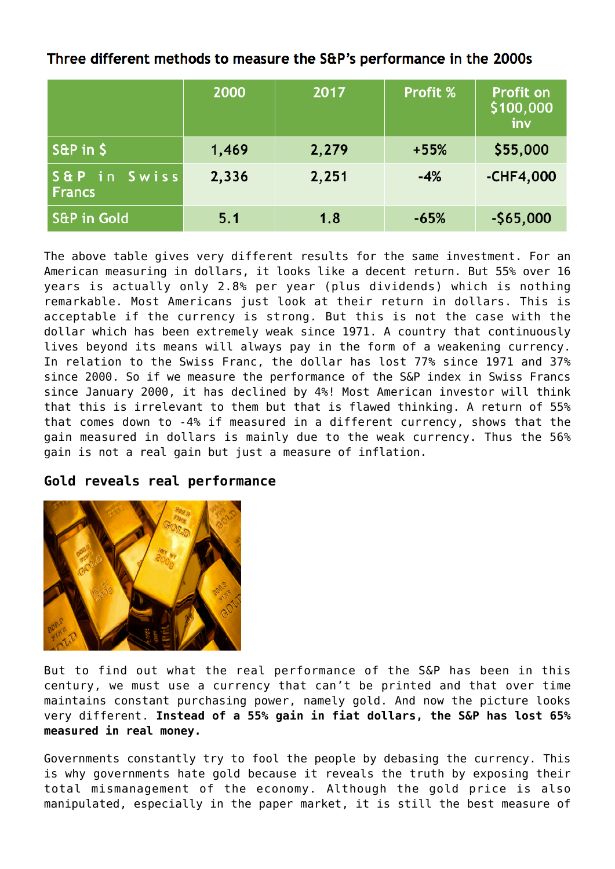# Three different methods to measure the S&P's performance in the 2000s

|                               | 2000  | 2017  | <b>Profit %</b> | <b>Profit on</b><br>\$100,000<br>inv |
|-------------------------------|-------|-------|-----------------|--------------------------------------|
| $S\&P$ in $\$$                | 1,469 | 2,279 | $+55%$          | \$55,000                             |
| S&P in Swiss<br><b>Francs</b> | 2,336 | 2,251 | $-4%$           | $-CHF4,000$                          |
| <b>S&amp;P in Gold</b>        | 5.1   | 1.8   | $-65%$          | $-565,000$                           |

The above table gives very different results for the same investment. For an American measuring in dollars, it looks like a decent return. But 55% over 16 years is actually only 2.8% per year (plus dividends) which is nothing remarkable. Most Americans just look at their return in dollars. This is acceptable if the currency is strong. But this is not the case with the dollar which has been extremely weak since 1971. A country that continuously lives beyond its means will always pay in the form of a weakening currency. In relation to the Swiss Franc, the dollar has lost 77% since 1971 and 37% since 2000. So if we measure the performance of the S&P index in Swiss Francs since January 2000, it has declined by 4%! Most American investor will think that this is irrelevant to them but that is flawed thinking. A return of 55% that comes down to -4% if measured in a different currency, shows that the gain measured in dollars is mainly due to the weak currency. Thus the 56% gain is not a real gain but just a measure of inflation.

## **Gold reveals real performance**



But to find out what the real performance of the S&P has been in this century, we must use a currency that can't be printed and that over time maintains constant purchasing power, namely gold. And now the picture looks very different. **Instead of a 55% gain in fiat dollars, the S&P has lost 65% measured in real money.**

Governments constantly try to fool the people by debasing the currency. This is why governments hate gold because it reveals the truth by exposing their total mismanagement of the economy. Although the gold price is also manipulated, especially in the paper market, it is still the best measure of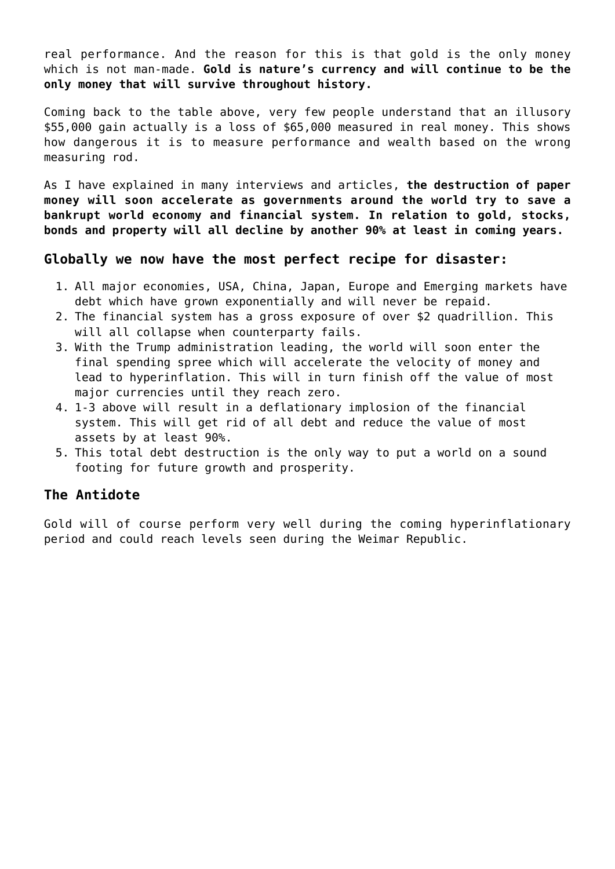real performance. And the reason for this is that gold is the only money which is not man-made. **Gold is nature's currency and will continue to be the only money that will survive throughout history.**

Coming back to the table above, very few people understand that an illusory \$55,000 gain actually is a loss of \$65,000 measured in real money. This shows how dangerous it is to measure performance and wealth based on the wrong measuring rod.

As I have explained in many interviews and articles, **the destruction of paper money will soon accelerate as governments around the world try to save a bankrupt world economy and financial system. In relation to gold, stocks, bonds and property will all decline by another 90% at least in coming years.**

## **Globally we now have the most perfect recipe for disaster:**

- 1. All major economies, USA, China, Japan, Europe and Emerging markets have debt which have grown exponentially and will never be repaid.
- 2. The financial system has a gross exposure of over \$2 quadrillion. This will all collapse when counterparty fails.
- 3. With the Trump administration leading, the world will soon enter the final spending spree which will accelerate the velocity of money and lead to hyperinflation. This will in turn finish off the value of most major currencies until they reach zero.
- 4. 1-3 above will result in a deflationary implosion of the financial system. This will get rid of all debt and reduce the value of most assets by at least 90%.
- 5. This total debt destruction is the only way to put a world on a sound footing for future growth and prosperity.

## **The Antidote**

Gold will of course perform very well during the coming hyperinflationary period and could reach levels seen during the Weimar Republic.